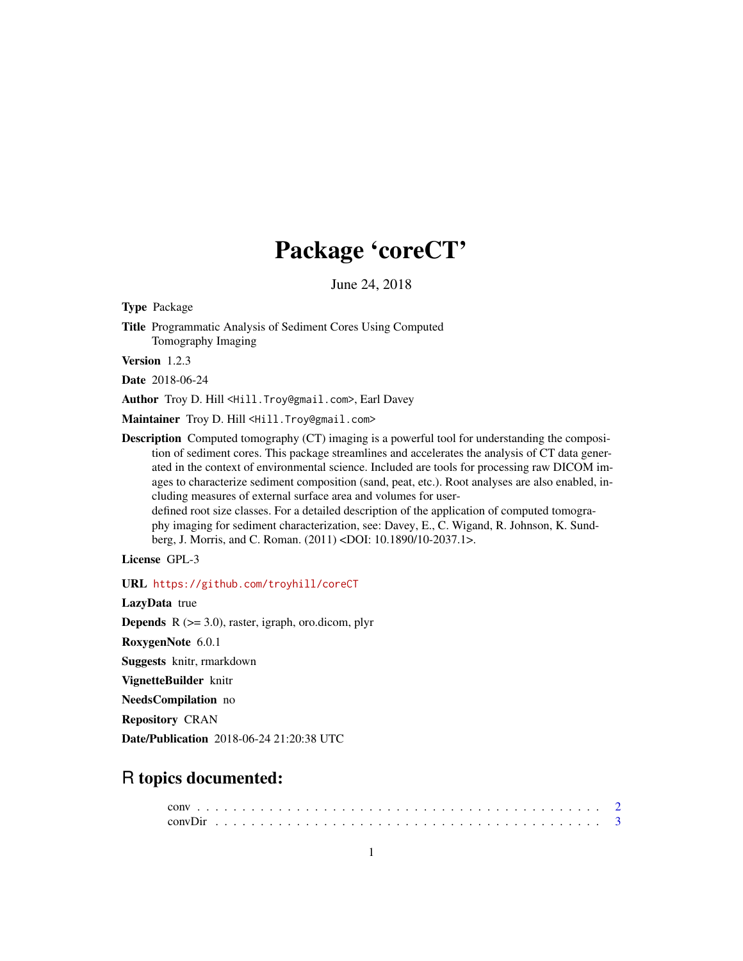# Package 'coreCT'

June 24, 2018

Type Package

Title Programmatic Analysis of Sediment Cores Using Computed Tomography Imaging

Version 1.2.3

Date 2018-06-24

Author Troy D. Hill <Hill. Troy@gmail.com>, Earl Davey

Maintainer Troy D. Hill <Hill. Troy@gmail.com>

**Description** Computed tomography (CT) imaging is a powerful tool for understanding the composition of sediment cores. This package streamlines and accelerates the analysis of CT data generated in the context of environmental science. Included are tools for processing raw DICOM images to characterize sediment composition (sand, peat, etc.). Root analyses are also enabled, including measures of external surface area and volumes for userdefined root size classes. For a detailed description of the application of computed tomography imaging for sediment characterization, see: Davey, E., C. Wigand, R. Johnson, K. Sundberg, J. Morris, and C. Roman. (2011) <DOI: 10.1890/10-2037.1>.

License GPL-3

URL <https://github.com/troyhill/coreCT>

LazyData true **Depends**  $R$  ( $>= 3.0$ ), raster, igraph, oro.dicom, plyr RoxygenNote 6.0.1 Suggests knitr, rmarkdown VignetteBuilder knitr NeedsCompilation no Repository CRAN Date/Publication 2018-06-24 21:20:38 UTC

## R topics documented: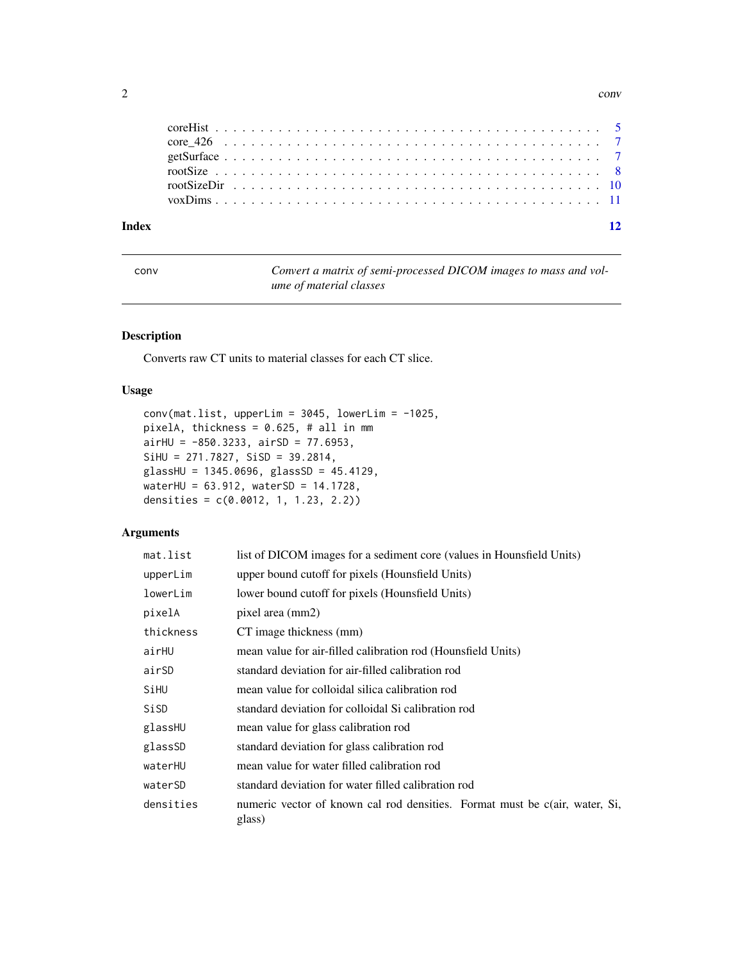#### $2 \cos \theta$  converges to  $2 \cos \theta$  converges to  $2 \sin \theta$  converges to  $2 \sin \theta$  converges to  $2 \sin \theta$  converges to  $2 \sin \theta$  converges to  $2 \sin \theta$  converges to  $2 \sin \theta$  converges to  $2 \sin \theta$  converges to  $2 \sin \theta$  converges to  $2 \sin \theta$  con

| Index |  |  |
|-------|--|--|
|       |  |  |
|       |  |  |
|       |  |  |
|       |  |  |
|       |  |  |
|       |  |  |

<span id="page-1-1"></span>conv *Convert a matrix of semi-processed DICOM images to mass and volume of material classes*

#### Description

Converts raw CT units to material classes for each CT slice.

#### Usage

```
conv(mat.list, upperLim = 3045, lowerLim = -1025,pixelA, thickness = 0.625, # all in mm
airHU = -850.3233, airSD = 77.6953,SiHU = 271.7827, SiSD = 39.2814,
glassHU = 1345.0696, glassSD = 45.4129,
waterHU = 63.912, waterSD = 14.1728,
densities = c(0.0012, 1, 1.23, 2.2))
```
#### Arguments

| mat.list  | list of DICOM images for a sediment core (values in Hounsfield Units)                 |
|-----------|---------------------------------------------------------------------------------------|
| upperLim  | upper bound cutoff for pixels (Hounsfield Units)                                      |
| lowerLim  | lower bound cutoff for pixels (Hounsfield Units)                                      |
| pixelA    | pixel area (mm2)                                                                      |
| thickness | CT image thickness (mm)                                                               |
| airHU     | mean value for air-filled calibration rod (Hounsfield Units)                          |
| airSD     | standard deviation for air-filled calibration rod                                     |
| SiHU      | mean value for colloidal silica calibration rod                                       |
| SiSD      | standard deviation for colloidal Si calibration rod                                   |
| glassHU   | mean value for glass calibration rod                                                  |
| glassSD   | standard deviation for glass calibration rod                                          |
| waterHU   | mean value for water filled calibration rod                                           |
| waterSD   | standard deviation for water filled calibration rod                                   |
| densities | numeric vector of known cal rod densities. Format must be c(air, water, Si,<br>glass) |

<span id="page-1-0"></span>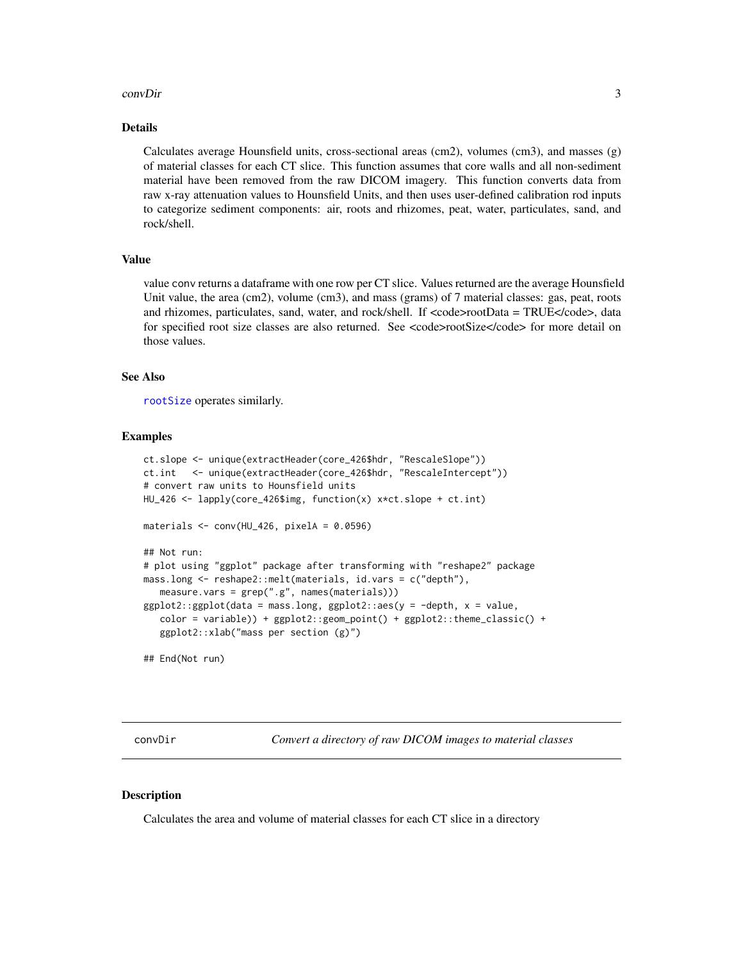#### <span id="page-2-0"></span>convDir 3

#### Details

Calculates average Hounsfield units, cross-sectional areas (cm2), volumes (cm3), and masses (g) of material classes for each CT slice. This function assumes that core walls and all non-sediment material have been removed from the raw DICOM imagery. This function converts data from raw x-ray attenuation values to Hounsfield Units, and then uses user-defined calibration rod inputs to categorize sediment components: air, roots and rhizomes, peat, water, particulates, sand, and rock/shell.

#### Value

value conv returns a dataframe with one row per CT slice. Values returned are the average Hounsfield Unit value, the area (cm2), volume (cm3), and mass (grams) of 7 material classes: gas, peat, roots and rhizomes, particulates, sand, water, and rock/shell. If  $\langle \text{code}\rangle$  rootData = TRUE $\langle \text{code}\rangle$ , data for specified root size classes are also returned. See <code>rootSize</code> for more detail on those values.

#### See Also

[rootSize](#page-7-1) operates similarly.

#### Examples

```
ct.slope <- unique(extractHeader(core_426$hdr, "RescaleSlope"))
ct.int <- unique(extractHeader(core_426$hdr, "RescaleIntercept"))
# convert raw units to Hounsfield units
HU_426 <- lapply(core_426$img, function(x) x*ct.slope + ct.int)
materials <- conv(HU_426, pixelA = 0.0596)
## Not run:
# plot using "ggplot" package after transforming with "reshape2" package
mass.long <- reshape2::melt(materials, id.vars = c("depth"),
  measure.vars = grep(".g", names(materials)))
ggplot2::ggplot(data = mass.lang, ggplot2::aes(y = -depth, x = value,color = variable)) + ggplot2::geom_point() + ggplot2::theme_classic() +
  ggplot2::xlab("mass per section (g)")
## End(Not run)
```
<span id="page-2-1"></span>convDir *Convert a directory of raw DICOM images to material classes*

#### **Description**

Calculates the area and volume of material classes for each CT slice in a directory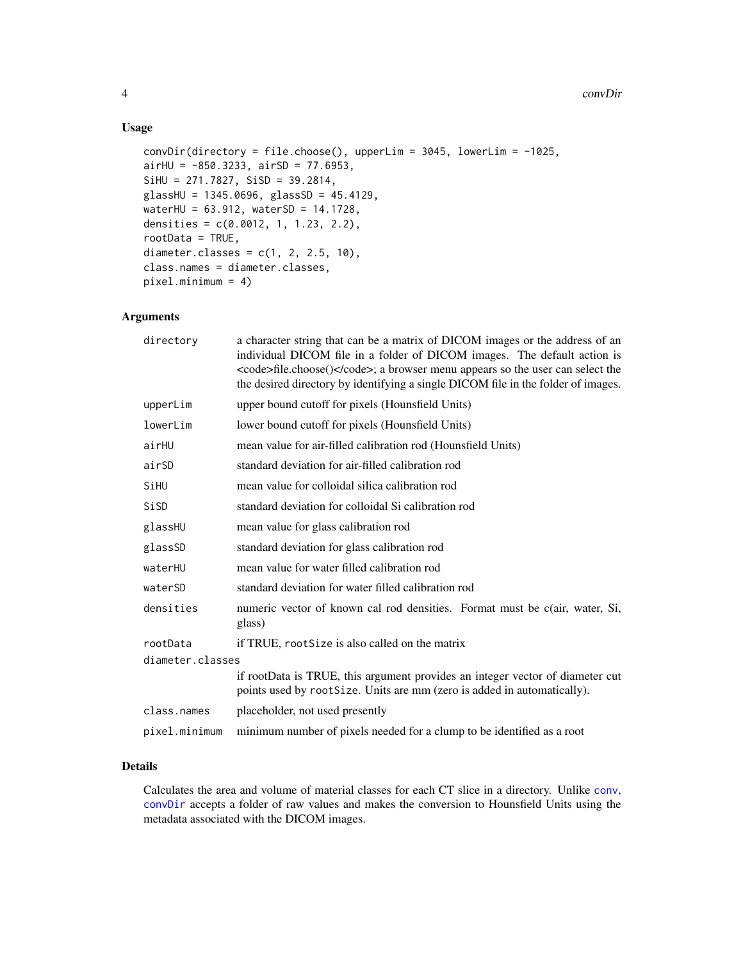#### Usage

```
convDir(directory = file.close(), upperLim = 3045, lowerLim = -1025,airHU = -850.3233, airSD = 77.6953,SiHU = 271.7827, SiSD = 39.2814,
glassHU = 1345.0696, glassSD = 45.4129,
waterHU = 63.912, waterSD = 14.1728,
densities = c(0.0012, 1, 1.23, 2.2),
rootData = TRUE,
diameter.classes = c(1, 2, 2.5, 10),
class.names = diameter.classes,
pixel.minimum = 4)
```
#### Arguments

| directory        | a character string that can be a matrix of DICOM images or the address of an<br>individual DICOM file in a folder of DICOM images. The default action is<br><code>file.choose()</code> ; a browser menu appears so the user can select the<br>the desired directory by identifying a single DICOM file in the folder of images. |
|------------------|---------------------------------------------------------------------------------------------------------------------------------------------------------------------------------------------------------------------------------------------------------------------------------------------------------------------------------|
| upperLim         | upper bound cutoff for pixels (Hounsfield Units)                                                                                                                                                                                                                                                                                |
| lowerLim         | lower bound cutoff for pixels (Hounsfield Units)                                                                                                                                                                                                                                                                                |
| airHU            | mean value for air-filled calibration rod (Hounsfield Units)                                                                                                                                                                                                                                                                    |
| airSD            | standard deviation for air-filled calibration rod                                                                                                                                                                                                                                                                               |
| SiHU             | mean value for colloidal silica calibration rod                                                                                                                                                                                                                                                                                 |
| SiSD             | standard deviation for colloidal Si calibration rod                                                                                                                                                                                                                                                                             |
| glassHU          | mean value for glass calibration rod                                                                                                                                                                                                                                                                                            |
| glassSD          | standard deviation for glass calibration rod                                                                                                                                                                                                                                                                                    |
| waterHU          | mean value for water filled calibration rod                                                                                                                                                                                                                                                                                     |
| waterSD          | standard deviation for water filled calibration rod                                                                                                                                                                                                                                                                             |
| densities        | numeric vector of known cal rod densities. Format must be c(air, water, Si,<br>glass)                                                                                                                                                                                                                                           |
| rootData         | if TRUE, rootSize is also called on the matrix                                                                                                                                                                                                                                                                                  |
| diameter.classes |                                                                                                                                                                                                                                                                                                                                 |
|                  | if rootData is TRUE, this argument provides an integer vector of diameter cut<br>points used by rootSize. Units are mm (zero is added in automatically).                                                                                                                                                                        |
| class.names      | placeholder, not used presently                                                                                                                                                                                                                                                                                                 |
| pixel.minimum    | minimum number of pixels needed for a clump to be identified as a root                                                                                                                                                                                                                                                          |

#### Details

Calculates the area and volume of material classes for each CT slice in a directory. Unlike [conv](#page-1-1), [convDir](#page-2-1) accepts a folder of raw values and makes the conversion to Hounsfield Units using the metadata associated with the DICOM images.

<span id="page-3-0"></span>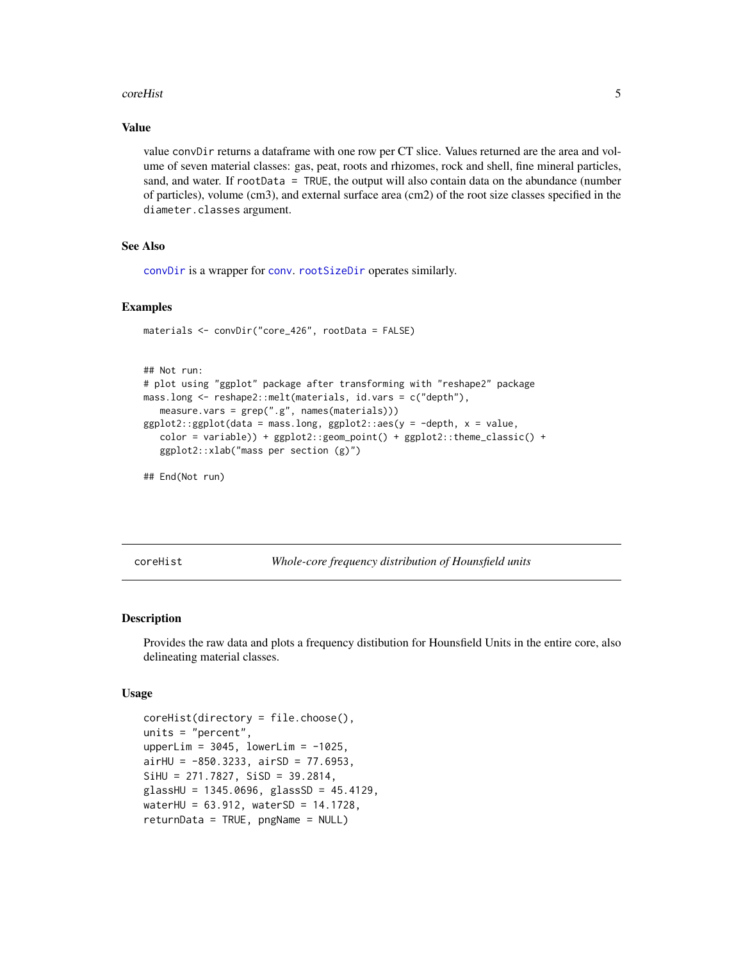#### <span id="page-4-0"></span>coreHist 5

#### Value

value convDir returns a dataframe with one row per CT slice. Values returned are the area and volume of seven material classes: gas, peat, roots and rhizomes, rock and shell, fine mineral particles, sand, and water. If rootData = TRUE, the output will also contain data on the abundance (number of particles), volume (cm3), and external surface area (cm2) of the root size classes specified in the diameter.classes argument.

#### See Also

[convDir](#page-2-1) is a wrapper for [conv](#page-1-1). [rootSizeDir](#page-9-1) operates similarly.

#### Examples

```
materials <- convDir("core_426", rootData = FALSE)
```

```
## Not run:
# plot using "ggplot" package after transforming with "reshape2" package
mass.long <- reshape2::melt(materials, id.vars = c("depth"),
  measure.vars = grep(".g", names(materials)))
ggplot2::ggplot(data = mass.lang, ggplot2::aes(y = -depth, x = value,color = variable)) + ggplot2::geom_point() + ggplot2::theme_classic() +
  ggplot2::xlab("mass per section (g)")
```
## End(Not run)

coreHist *Whole-core frequency distribution of Hounsfield units*

#### Description

Provides the raw data and plots a frequency distibution for Hounsfield Units in the entire core, also delineating material classes.

#### Usage

```
coreHist(directory = file.choose(),
units = "percent",
upperLim = 3045, lowerLim = -1025,
airHU = -850.3233, airSD = 77.6953,SiHU = 271.7827, SiSD = 39.2814,
glassHU = 1345.0696, glassSD = 45.4129,
waterHU = 63.912, waterSD = 14.1728,
returnData = TRUE, pngName = NULL)
```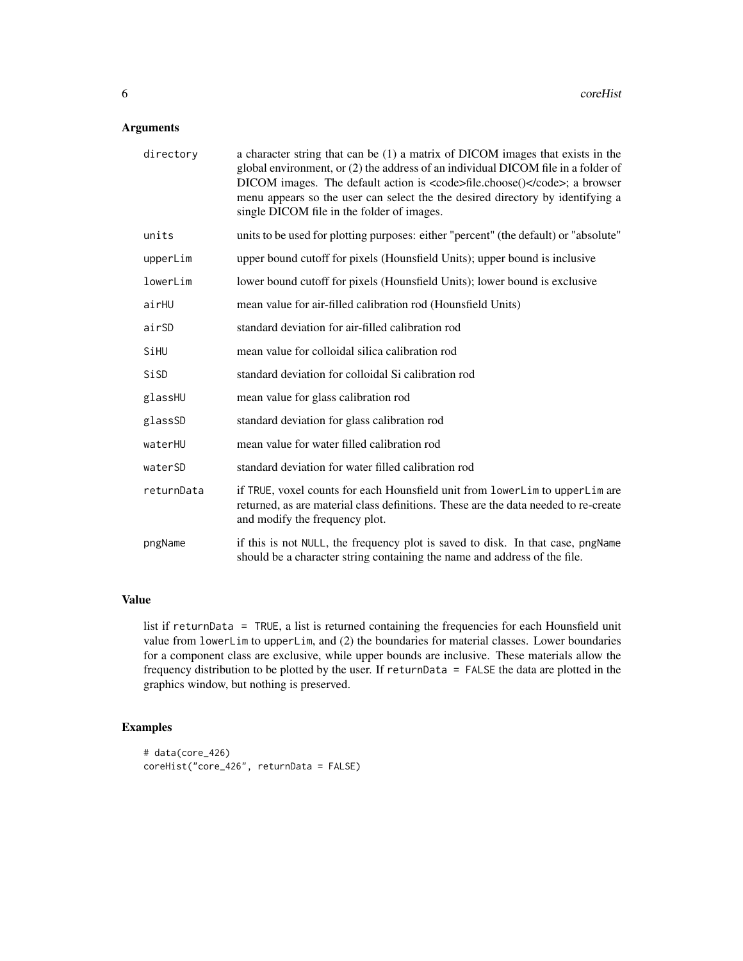### Arguments

| directory  | a character string that can be (1) a matrix of DICOM images that exists in the<br>global environment, or (2) the address of an individual DICOM file in a folder of<br>DICOM images. The default action is <code>file.choose()</code> ; a browser<br>menu appears so the user can select the the desired directory by identifying a<br>single DICOM file in the folder of images. |
|------------|-----------------------------------------------------------------------------------------------------------------------------------------------------------------------------------------------------------------------------------------------------------------------------------------------------------------------------------------------------------------------------------|
| units      | units to be used for plotting purposes: either "percent" (the default) or "absolute"                                                                                                                                                                                                                                                                                              |
| upperLim   | upper bound cutoff for pixels (Hounsfield Units); upper bound is inclusive                                                                                                                                                                                                                                                                                                        |
| lowerLim   | lower bound cutoff for pixels (Hounsfield Units); lower bound is exclusive                                                                                                                                                                                                                                                                                                        |
| airHU      | mean value for air-filled calibration rod (Hounsfield Units)                                                                                                                                                                                                                                                                                                                      |
| airSD      | standard deviation for air-filled calibration rod                                                                                                                                                                                                                                                                                                                                 |
| SiHU       | mean value for colloidal silica calibration rod                                                                                                                                                                                                                                                                                                                                   |
| SiSD       | standard deviation for colloidal Si calibration rod                                                                                                                                                                                                                                                                                                                               |
| glassHU    | mean value for glass calibration rod                                                                                                                                                                                                                                                                                                                                              |
| glassSD    | standard deviation for glass calibration rod                                                                                                                                                                                                                                                                                                                                      |
| waterHU    | mean value for water filled calibration rod                                                                                                                                                                                                                                                                                                                                       |
| waterSD    | standard deviation for water filled calibration rod                                                                                                                                                                                                                                                                                                                               |
| returnData | if TRUE, voxel counts for each Hounsfield unit from lowerLim to upperLim are<br>returned, as are material class definitions. These are the data needed to re-create<br>and modify the frequency plot.                                                                                                                                                                             |
| pngName    | if this is not NULL, the frequency plot is saved to disk. In that case, pngName<br>should be a character string containing the name and address of the file.                                                                                                                                                                                                                      |

### Value

list if returnData = TRUE, a list is returned containing the frequencies for each Hounsfield unit value from lowerLim to upperLim, and (2) the boundaries for material classes. Lower boundaries for a component class are exclusive, while upper bounds are inclusive. These materials allow the frequency distribution to be plotted by the user. If returnData = FALSE the data are plotted in the graphics window, but nothing is preserved.

#### Examples

```
# data(core_426)
coreHist("core_426", returnData = FALSE)
```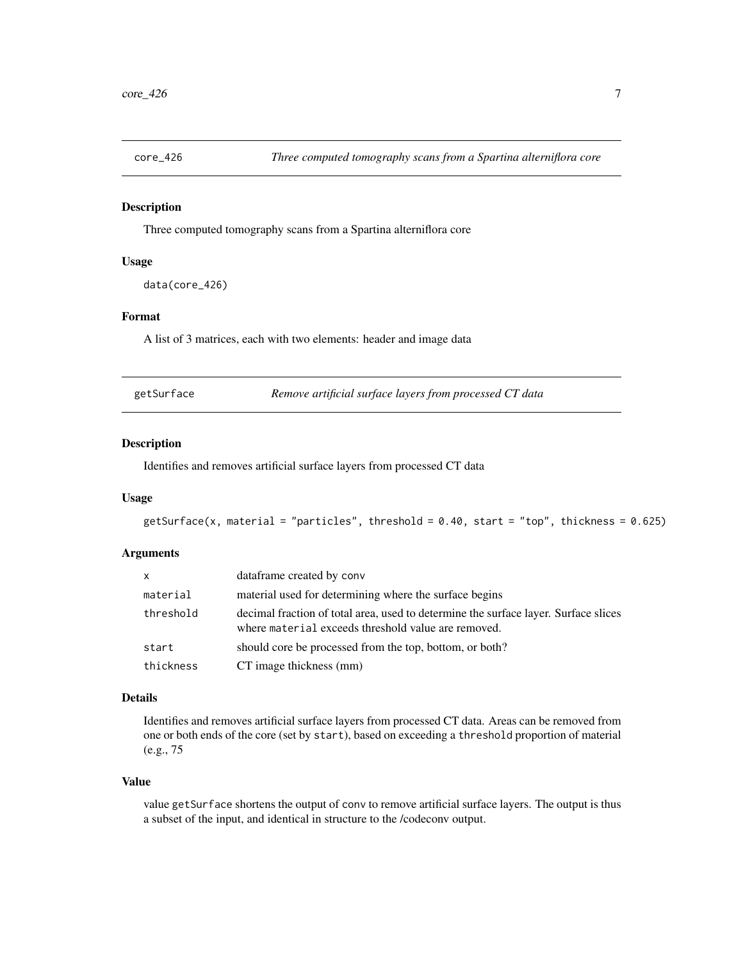<span id="page-6-0"></span>

#### Description

Three computed tomography scans from a Spartina alterniflora core

#### Usage

```
data(core_426)
```
#### Format

A list of 3 matrices, each with two elements: header and image data

|  | getSurface | Remove artificial surface layers from processed CT data |
|--|------------|---------------------------------------------------------|
|--|------------|---------------------------------------------------------|

#### Description

Identifies and removes artificial surface layers from processed CT data

#### Usage

```
getSurface(x, material = "particles", threshold = 0.40, start = "top", thickness = 0.625)
```
#### Arguments

| <b>X</b>  | dataframe created by conv                                                                                                                  |
|-----------|--------------------------------------------------------------------------------------------------------------------------------------------|
| material  | material used for determining where the surface begins                                                                                     |
| threshold | decimal fraction of total area, used to determine the surface layer. Surface slices<br>where material exceeds threshold value are removed. |
| start     | should core be processed from the top, bottom, or both?                                                                                    |
| thickness | CT image thickness (mm)                                                                                                                    |

#### Details

Identifies and removes artificial surface layers from processed CT data. Areas can be removed from one or both ends of the core (set by start), based on exceeding a threshold proportion of material (e.g., 75

#### Value

value getSurface shortens the output of conv to remove artificial surface layers. The output is thus a subset of the input, and identical in structure to the /codeconv output.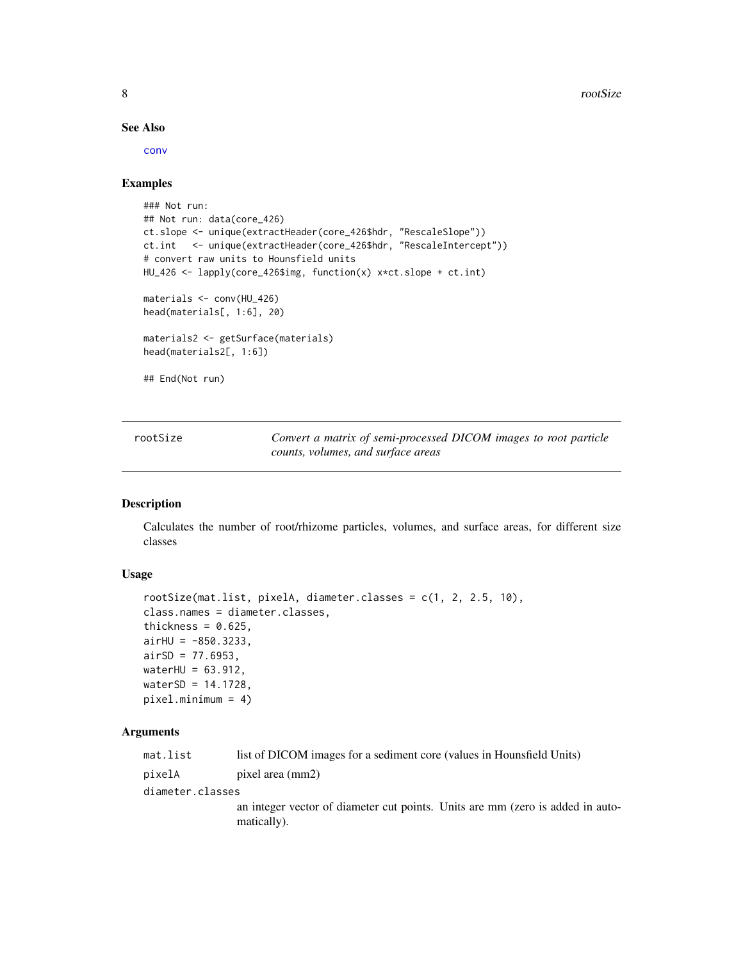#### See Also

[conv](#page-1-1)

#### Examples

```
### Not run:
## Not run: data(core_426)
ct.slope <- unique(extractHeader(core_426$hdr, "RescaleSlope"))
ct.int <- unique(extractHeader(core_426$hdr, "RescaleIntercept"))
# convert raw units to Hounsfield units
HU_426 <- lapply(core_426$img, function(x) x*ct.slope + ct.int)
materials <- conv(HU_426)
head(materials[, 1:6], 20)
materials2 <- getSurface(materials)
head(materials2[, 1:6])
## End(Not run)
```
<span id="page-7-1"></span>rootSize *Convert a matrix of semi-processed DICOM images to root particle counts, volumes, and surface areas*

#### Description

Calculates the number of root/rhizome particles, volumes, and surface areas, for different size classes

#### Usage

```
rootSize(mat.list, pixelA, diameter.classes = c(1, 2, 2.5, 10),
class.names = diameter.classes,
thickness = 0.625,
airHU = -850.3233,airSD = 77.6953,waterHU = 63.912,
waterSD = 14.1728,pixel.minimum = 4)
```
#### Arguments

| mat.list         | list of DICOM images for a sediment core (values in Hounsfield Units)                         |
|------------------|-----------------------------------------------------------------------------------------------|
| pixelA           | pixel area (mm2)                                                                              |
| diameter.classes |                                                                                               |
|                  | an integer vector of diameter cut points. Units are mm (zero is added in auto-<br>matically). |

<span id="page-7-0"></span>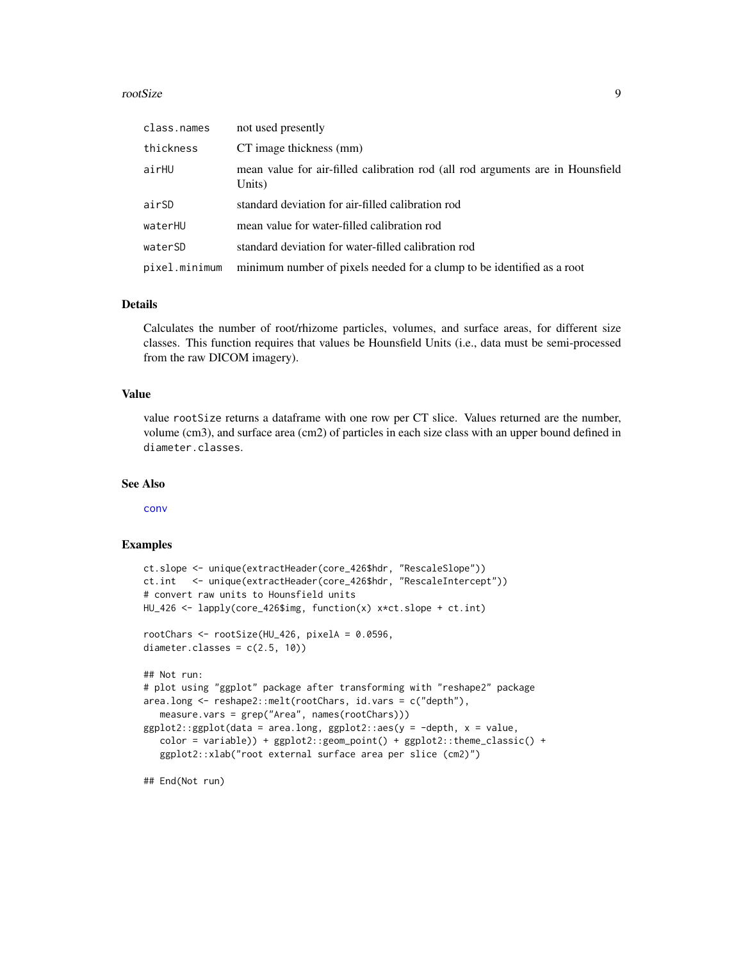#### <span id="page-8-0"></span>rootSize 9

| class.names   | not used presently                                                                       |
|---------------|------------------------------------------------------------------------------------------|
| thickness     | CT image thickness (mm)                                                                  |
| airHU         | mean value for air-filled calibration rod (all rod arguments are in Hounsfield<br>Units) |
| airSD         | standard deviation for air-filled calibration rod                                        |
| waterHU       | mean value for water-filled calibration rod                                              |
| waterSD       | standard deviation for water-filled calibration rod                                      |
| pixel.minimum | minimum number of pixels needed for a clump to be identified as a root                   |

#### Details

Calculates the number of root/rhizome particles, volumes, and surface areas, for different size classes. This function requires that values be Hounsfield Units (i.e., data must be semi-processed from the raw DICOM imagery).

#### Value

value rootSize returns a dataframe with one row per CT slice. Values returned are the number, volume (cm3), and surface area (cm2) of particles in each size class with an upper bound defined in diameter.classes.

#### See Also

[conv](#page-1-1)

#### Examples

```
ct.slope <- unique(extractHeader(core_426$hdr, "RescaleSlope"))
ct.int <- unique(extractHeader(core_426$hdr, "RescaleIntercept"))
# convert raw units to Hounsfield units
HU_426 <- lapply(core_426$img, function(x) x*ct.slope + ct.int)
rootChars <- rootSize(HU_426, pixelA = 0.0596,
diameter.classes = c(2.5, 10))
## Not run:
# plot using "ggplot" package after transforming with "reshape2" package
area.long <- reshape2::melt(rootChars, id.vars = c("depth"),
   measure.vars = grep("Area", names(rootChars)))
ggplot2::ggplot(data = area.lang, ggplot2::aes(y = -depth, x = value,color = variable)) + ggplot2::geom_point() + ggplot2::theme_classic() +
   ggplot2::xlab("root external surface area per slice (cm2)")
```
## End(Not run)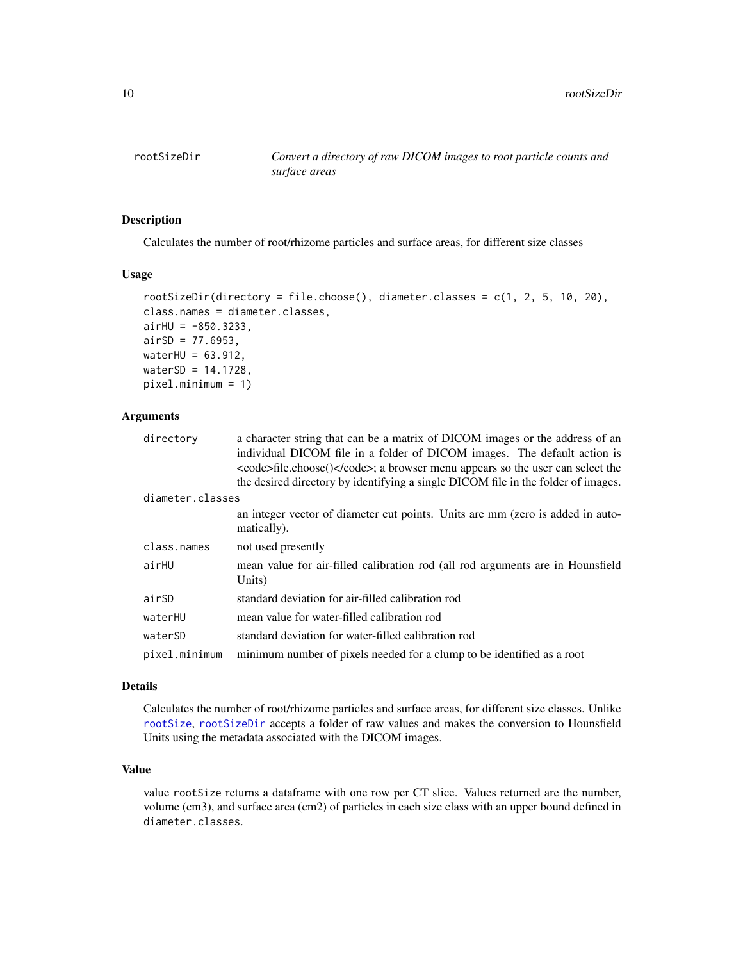<span id="page-9-1"></span><span id="page-9-0"></span>

#### Description

Calculates the number of root/rhizome particles and surface areas, for different size classes

#### Usage

```
rootSizeDir(directory = file.choose(), diameter.classes = c(1, 2, 5, 10, 20),
class.names = diameter.classes,
airHU = -850.3233,airSD = 77.6953,waterHU = 63.912,
waterSD = 14.1728,
pixel.minimum = 1)
```
#### **Arguments**

| directory        | a character string that can be a matrix of DICOM images or the address of an<br>individual DICOM file in a folder of DICOM images. The default action is<br><code>file.choose()</code> ; a browser menu appears so the user can select the<br>the desired directory by identifying a single DICOM file in the folder of images. |
|------------------|---------------------------------------------------------------------------------------------------------------------------------------------------------------------------------------------------------------------------------------------------------------------------------------------------------------------------------|
| diameter.classes |                                                                                                                                                                                                                                                                                                                                 |
|                  | an integer vector of diameter cut points. Units are mm (zero is added in auto-<br>matically).                                                                                                                                                                                                                                   |
| class.names      | not used presently                                                                                                                                                                                                                                                                                                              |
| airHU            | mean value for air-filled calibration rod (all rod arguments are in Hounsfield<br>Units)                                                                                                                                                                                                                                        |
| airSD            | standard deviation for air-filled calibration rod                                                                                                                                                                                                                                                                               |
| waterHU          | mean value for water-filled calibration rod                                                                                                                                                                                                                                                                                     |
| waterSD          | standard deviation for water-filled calibration rod                                                                                                                                                                                                                                                                             |
| pixel.minimum    | minimum number of pixels needed for a clump to be identified as a root                                                                                                                                                                                                                                                          |

#### Details

Calculates the number of root/rhizome particles and surface areas, for different size classes. Unlike [rootSize](#page-7-1), [rootSizeDir](#page-9-1) accepts a folder of raw values and makes the conversion to Hounsfield Units using the metadata associated with the DICOM images.

#### Value

value rootSize returns a dataframe with one row per CT slice. Values returned are the number, volume (cm3), and surface area (cm2) of particles in each size class with an upper bound defined in diameter.classes.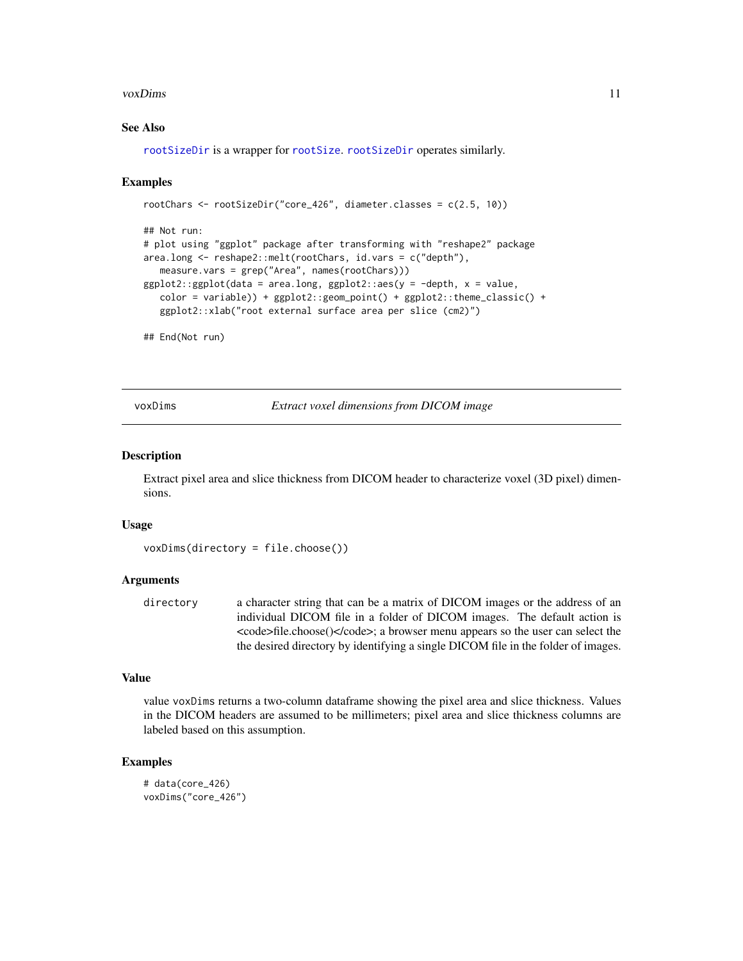#### <span id="page-10-0"></span>voxDims 11

#### See Also

[rootSizeDir](#page-9-1) is a wrapper for [rootSize](#page-7-1). [rootSizeDir](#page-9-1) operates similarly.

#### Examples

```
rootChars <- rootSizeDir("core_426", diameter.classes = c(2.5, 10))
## Not run:
# plot using "ggplot" package after transforming with "reshape2" package
area.long <- reshape2::melt(rootChars, id.vars = c("depth"),
  measure.vars = grep("Area", names(rootChars)))
ggplot2::ggplot(data = area.lang, ggplot2::aes(y = -depth, x = value,color = variable) + ggplot2::geom\_point() + ggplot2::theneclassic() +
  ggplot2::xlab("root external surface area per slice (cm2)")
```
## End(Not run)

voxDims *Extract voxel dimensions from DICOM image*

#### **Description**

Extract pixel area and slice thickness from DICOM header to characterize voxel (3D pixel) dimensions.

#### Usage

```
voxDims(directory = file.choose())
```
#### Arguments

directory a character string that can be a matrix of DICOM images or the address of an individual DICOM file in a folder of DICOM images. The default action is <code>file.choose()</code>; a browser menu appears so the user can select the the desired directory by identifying a single DICOM file in the folder of images.

#### Value

value voxDims returns a two-column dataframe showing the pixel area and slice thickness. Values in the DICOM headers are assumed to be millimeters; pixel area and slice thickness columns are labeled based on this assumption.

#### Examples

```
# data(core_426)
voxDims("core_426")
```